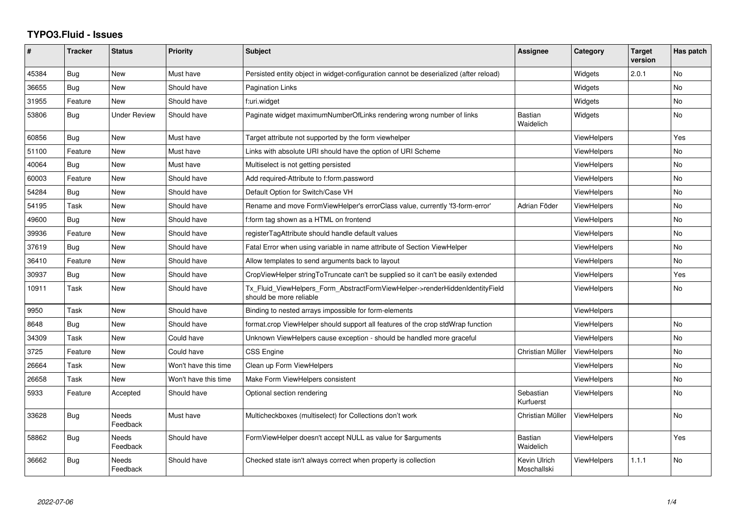## **TYPO3.Fluid - Issues**

| ∦     | <b>Tracker</b> | <b>Status</b>       | <b>Priority</b>      | Subject                                                                                                | Assignee                    | Category           | <b>Target</b><br>version | Has patch |
|-------|----------------|---------------------|----------------------|--------------------------------------------------------------------------------------------------------|-----------------------------|--------------------|--------------------------|-----------|
| 45384 | Bug            | <b>New</b>          | Must have            | Persisted entity object in widget-configuration cannot be deserialized (after reload)                  |                             | Widgets            | 2.0.1                    | <b>No</b> |
| 36655 | Bug            | New                 | Should have          | Pagination Links                                                                                       |                             | Widgets            |                          | No        |
| 31955 | Feature        | New                 | Should have          | f:uri.widget                                                                                           |                             | Widgets            |                          | <b>No</b> |
| 53806 | Bug            | <b>Under Review</b> | Should have          | Paginate widget maximumNumberOfLinks rendering wrong number of links                                   | <b>Bastian</b><br>Waidelich | Widgets            |                          | No        |
| 60856 | Bug            | New                 | Must have            | Target attribute not supported by the form viewhelper                                                  |                             | <b>ViewHelpers</b> |                          | Yes       |
| 51100 | Feature        | New                 | Must have            | Links with absolute URI should have the option of URI Scheme                                           |                             | <b>ViewHelpers</b> |                          | <b>No</b> |
| 40064 | Bug            | New                 | Must have            | Multiselect is not getting persisted                                                                   |                             | <b>ViewHelpers</b> |                          | No        |
| 60003 | Feature        | New                 | Should have          | Add required-Attribute to f:form.password                                                              |                             | <b>ViewHelpers</b> |                          | <b>No</b> |
| 54284 | Bug            | New                 | Should have          | Default Option for Switch/Case VH                                                                      |                             | <b>ViewHelpers</b> |                          | No        |
| 54195 | Task           | New                 | Should have          | Rename and move FormViewHelper's errorClass value, currently 'f3-form-error'                           | Adrian Föder                | <b>ViewHelpers</b> |                          | <b>No</b> |
| 49600 | Bug            | New                 | Should have          | f:form tag shown as a HTML on frontend                                                                 |                             | ViewHelpers        |                          | <b>No</b> |
| 39936 | Feature        | <b>New</b>          | Should have          | registerTagAttribute should handle default values                                                      |                             | ViewHelpers        |                          | <b>No</b> |
| 37619 | Bug            | New                 | Should have          | Fatal Error when using variable in name attribute of Section ViewHelper                                |                             | ViewHelpers        |                          | No        |
| 36410 | Feature        | New                 | Should have          | Allow templates to send arguments back to layout                                                       |                             | ViewHelpers        |                          | <b>No</b> |
| 30937 | Bug            | New                 | Should have          | CropViewHelper stringToTruncate can't be supplied so it can't be easily extended                       |                             | <b>ViewHelpers</b> |                          | Yes       |
| 10911 | Task           | New                 | Should have          | Tx Fluid ViewHelpers Form AbstractFormViewHelper->renderHiddenIdentityField<br>should be more reliable |                             | ViewHelpers        |                          | No        |
| 9950  | Task           | New                 | Should have          | Binding to nested arrays impossible for form-elements                                                  |                             | <b>ViewHelpers</b> |                          |           |
| 8648  | Bug            | New                 | Should have          | format.crop ViewHelper should support all features of the crop stdWrap function                        |                             | <b>ViewHelpers</b> |                          | No        |
| 34309 | Task           | New                 | Could have           | Unknown ViewHelpers cause exception - should be handled more graceful                                  |                             | <b>ViewHelpers</b> |                          | <b>No</b> |
| 3725  | Feature        | New                 | Could have           | <b>CSS Engine</b>                                                                                      | Christian Müller            | <b>ViewHelpers</b> |                          | No        |
| 26664 | Task           | <b>New</b>          | Won't have this time | Clean up Form ViewHelpers                                                                              |                             | ViewHelpers        |                          | <b>No</b> |
| 26658 | Task           | New                 | Won't have this time | Make Form ViewHelpers consistent                                                                       |                             | <b>ViewHelpers</b> |                          | No        |
| 5933  | Feature        | Accepted            | Should have          | Optional section rendering                                                                             | Sebastian<br>Kurfuerst      | ViewHelpers        |                          | <b>No</b> |
| 33628 | <b>Bug</b>     | Needs<br>Feedback   | Must have            | Multicheckboxes (multiselect) for Collections don't work                                               | Christian Müller            | <b>ViewHelpers</b> |                          | No        |
| 58862 | <b>Bug</b>     | Needs<br>Feedback   | Should have          | FormViewHelper doesn't accept NULL as value for \$arguments                                            | Bastian<br>Waidelich        | ViewHelpers        |                          | Yes       |
| 36662 | Bug            | Needs<br>Feedback   | Should have          | Checked state isn't always correct when property is collection                                         | Kevin Ulrich<br>Moschallski | <b>ViewHelpers</b> | 1.1.1                    | <b>No</b> |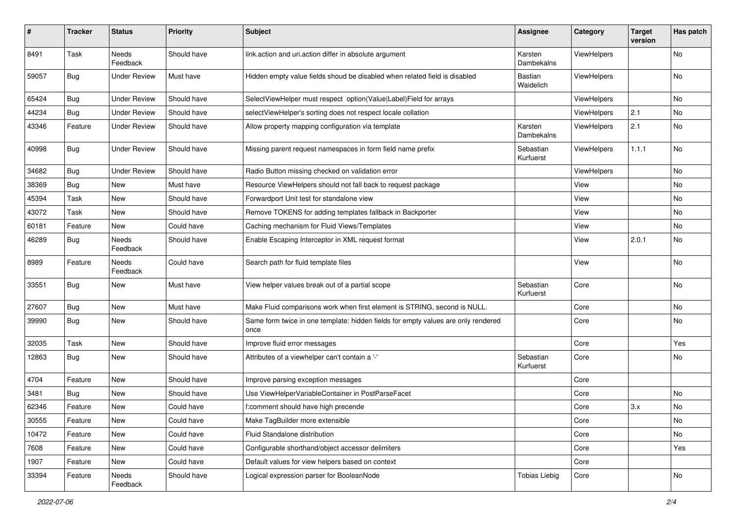| #     | <b>Tracker</b> | <b>Status</b>            | Priority    | <b>Subject</b>                                                                            | <b>Assignee</b>        | Category    | <b>Target</b><br>version | Has patch |
|-------|----------------|--------------------------|-------------|-------------------------------------------------------------------------------------------|------------------------|-------------|--------------------------|-----------|
| 8491  | Task           | <b>Needs</b><br>Feedback | Should have | link.action and uri.action differ in absolute argument                                    | Karsten<br>Dambekalns  | ViewHelpers |                          | <b>No</b> |
| 59057 | <b>Bug</b>     | <b>Under Review</b>      | Must have   | Hidden empty value fields shoud be disabled when related field is disabled                | Bastian<br>Waidelich   | ViewHelpers |                          | <b>No</b> |
| 65424 | Bug            | <b>Under Review</b>      | Should have | SelectViewHelper must respect option(Value Label)Field for arrays                         |                        | ViewHelpers |                          | No        |
| 44234 | Bug            | <b>Under Review</b>      | Should have | selectViewHelper's sorting does not respect locale collation                              |                        | ViewHelpers | 2.1                      | <b>No</b> |
| 43346 | Feature        | <b>Under Review</b>      | Should have | Allow property mapping configuration via template                                         | Karsten<br>Dambekalns  | ViewHelpers | 2.1                      | No        |
| 40998 | <b>Bug</b>     | <b>Under Review</b>      | Should have | Missing parent request namespaces in form field name prefix                               | Sebastian<br>Kurfuerst | ViewHelpers | 1.1.1                    | <b>No</b> |
| 34682 | Bug            | <b>Under Review</b>      | Should have | Radio Button missing checked on validation error                                          |                        | ViewHelpers |                          | <b>No</b> |
| 38369 | <b>Bug</b>     | New                      | Must have   | Resource ViewHelpers should not fall back to request package                              |                        | View        |                          | No        |
| 45394 | Task           | New                      | Should have | Forwardport Unit test for standalone view                                                 |                        | View        |                          | No        |
| 43072 | Task           | New                      | Should have | Remove TOKENS for adding templates fallback in Backporter                                 |                        | View        |                          | <b>No</b> |
| 60181 | Feature        | New                      | Could have  | Caching mechanism for Fluid Views/Templates                                               |                        | View        |                          | No        |
| 46289 | Bug            | Needs<br>Feedback        | Should have | Enable Escaping Interceptor in XML request format                                         |                        | View        | 2.0.1                    | No        |
| 8989  | Feature        | Needs<br>Feedback        | Could have  | Search path for fluid template files                                                      |                        | View        |                          | <b>No</b> |
| 33551 | <b>Bug</b>     | New                      | Must have   | View helper values break out of a partial scope                                           | Sebastian<br>Kurfuerst | Core        |                          | No        |
| 27607 | Bug            | New                      | Must have   | Make Fluid comparisons work when first element is STRING, second is NULL.                 |                        | Core        |                          | No        |
| 39990 | Bug            | New                      | Should have | Same form twice in one template: hidden fields for empty values are only rendered<br>once |                        | Core        |                          | No        |
| 32035 | Task           | <b>New</b>               | Should have | Improve fluid error messages                                                              |                        | Core        |                          | Yes       |
| 12863 | Bug            | New                      | Should have | Attributes of a viewhelper can't contain a '-'                                            | Sebastian<br>Kurfuerst | Core        |                          | No        |
| 4704  | Feature        | New                      | Should have | Improve parsing exception messages                                                        |                        | Core        |                          |           |
| 3481  | <b>Bug</b>     | New                      | Should have | Use ViewHelperVariableContainer in PostParseFacet                                         |                        | Core        |                          | No        |
| 62346 | Feature        | New                      | Could have  | f:comment should have high precende                                                       |                        | Core        | 3.x                      | No        |
| 30555 | Feature        | New                      | Could have  | Make TagBuilder more extensible                                                           |                        | Core        |                          | No        |
| 10472 | Feature        | New                      | Could have  | Fluid Standalone distribution                                                             |                        | Core        |                          | No        |
| 7608  | Feature        | New                      | Could have  | Configurable shorthand/object accessor delimiters                                         |                        | Core        |                          | Yes       |
| 1907  | Feature        | New                      | Could have  | Default values for view helpers based on context                                          |                        | Core        |                          |           |
| 33394 | Feature        | Needs<br>Feedback        | Should have | Logical expression parser for BooleanNode                                                 | <b>Tobias Liebig</b>   | Core        |                          | No        |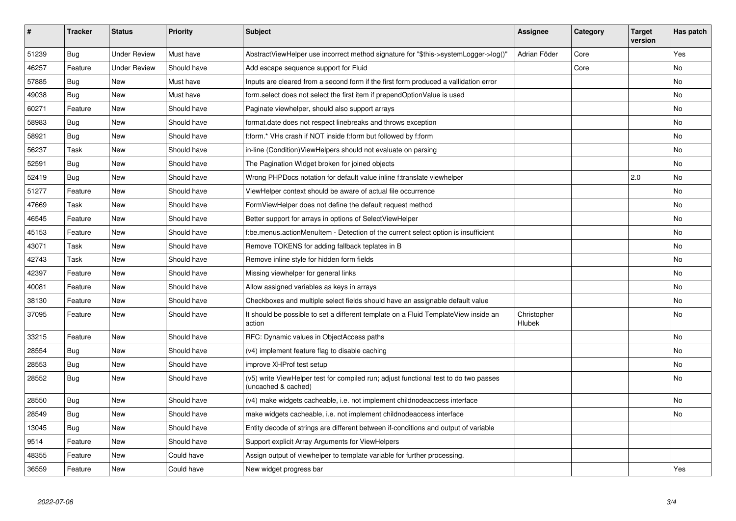| #     | <b>Tracker</b> | <b>Status</b>       | <b>Priority</b> | Subject                                                                                                     | Assignee              | Category | Target<br>version | Has patch  |
|-------|----------------|---------------------|-----------------|-------------------------------------------------------------------------------------------------------------|-----------------------|----------|-------------------|------------|
| 51239 | Bug            | <b>Under Review</b> | Must have       | AbstractViewHelper use incorrect method signature for "\$this->systemLogger->log()"                         | Adrian Föder          | Core     |                   | <b>Yes</b> |
| 46257 | Feature        | <b>Under Review</b> | Should have     | Add escape sequence support for Fluid                                                                       |                       | Core     |                   | <b>No</b>  |
| 57885 | Bug            | New                 | Must have       | Inputs are cleared from a second form if the first form produced a vallidation error                        |                       |          |                   | No         |
| 49038 | <b>Bug</b>     | New                 | Must have       | form select does not select the first item if prependOptionValue is used                                    |                       |          |                   | No         |
| 60271 | Feature        | New                 | Should have     | Paginate viewhelper, should also support arrays                                                             |                       |          |                   | No         |
| 58983 | Bug            | New                 | Should have     | format.date does not respect linebreaks and throws exception                                                |                       |          |                   | No         |
| 58921 | Bug            | New                 | Should have     | f:form.* VHs crash if NOT inside f:form but followed by f:form                                              |                       |          |                   | No         |
| 56237 | Task           | <b>New</b>          | Should have     | in-line (Condition) ViewHelpers should not evaluate on parsing                                              |                       |          |                   | No         |
| 52591 | Bug            | New                 | Should have     | The Pagination Widget broken for joined objects                                                             |                       |          |                   | <b>No</b>  |
| 52419 | Bug            | New                 | Should have     | Wrong PHPDocs notation for default value inline f:translate viewhelper                                      |                       |          | 2.0               | <b>No</b>  |
| 51277 | Feature        | New                 | Should have     | ViewHelper context should be aware of actual file occurrence                                                |                       |          |                   | <b>No</b>  |
| 47669 | Task           | <b>New</b>          | Should have     | FormViewHelper does not define the default request method                                                   |                       |          |                   | <b>No</b>  |
| 46545 | Feature        | New                 | Should have     | Better support for arrays in options of SelectViewHelper                                                    |                       |          |                   | <b>No</b>  |
| 45153 | Feature        | New                 | Should have     | f:be.menus.actionMenuItem - Detection of the current select option is insufficient                          |                       |          |                   | No         |
| 43071 | Task           | New                 | Should have     | Remove TOKENS for adding fallback teplates in B                                                             |                       |          |                   | <b>No</b>  |
| 42743 | Task           | New                 | Should have     | Remove inline style for hidden form fields                                                                  |                       |          |                   | <b>No</b>  |
| 42397 | Feature        | New                 | Should have     | Missing viewhelper for general links                                                                        |                       |          |                   | <b>No</b>  |
| 40081 | Feature        | New                 | Should have     | Allow assigned variables as keys in arrays                                                                  |                       |          |                   | No         |
| 38130 | Feature        | New                 | Should have     | Checkboxes and multiple select fields should have an assignable default value                               |                       |          |                   | No         |
| 37095 | Feature        | New                 | Should have     | It should be possible to set a different template on a Fluid TemplateView inside an<br>action               | Christopher<br>Hlubek |          |                   | No         |
| 33215 | Feature        | New                 | Should have     | RFC: Dynamic values in ObjectAccess paths                                                                   |                       |          |                   | <b>No</b>  |
| 28554 | Bug            | New                 | Should have     | (v4) implement feature flag to disable caching                                                              |                       |          |                   | No         |
| 28553 | Bug            | New                 | Should have     | improve XHProf test setup                                                                                   |                       |          |                   | No         |
| 28552 | Bug            | New                 | Should have     | (v5) write ViewHelper test for compiled run; adjust functional test to do two passes<br>(uncached & cached) |                       |          |                   | No         |
| 28550 | <b>Bug</b>     | New                 | Should have     | (v4) make widgets cacheable, i.e. not implement childnodeaccess interface                                   |                       |          |                   | No         |
| 28549 | <b>Bug</b>     | New                 | Should have     | make widgets cacheable, i.e. not implement childnodeaccess interface                                        |                       |          |                   | <b>No</b>  |
| 13045 | Bug            | New                 | Should have     | Entity decode of strings are different between if-conditions and output of variable                         |                       |          |                   |            |
| 9514  | Feature        | New                 | Should have     | Support explicit Array Arguments for ViewHelpers                                                            |                       |          |                   |            |
| 48355 | Feature        | New                 | Could have      | Assign output of viewhelper to template variable for further processing.                                    |                       |          |                   |            |
| 36559 | Feature        | <b>New</b>          | Could have      | New widget progress bar                                                                                     |                       |          |                   | Yes        |